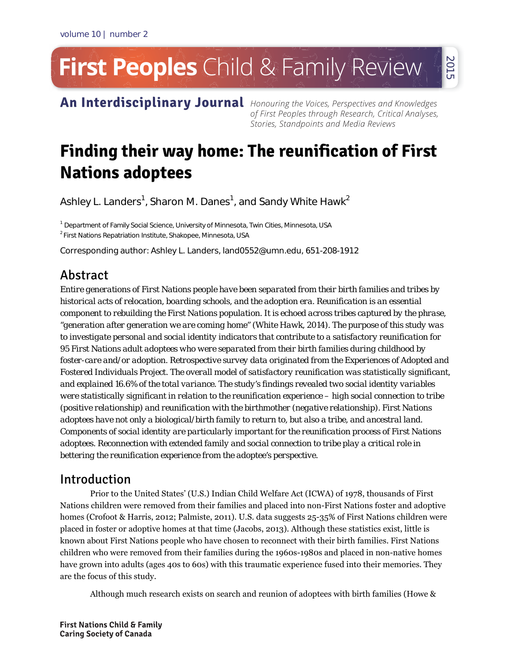# **First Peoples** Child & Family Review 2015

An Interdisciplinary Journal Honouring the Voices, Perspectives and Knowledges

of First Peoples through Research, Critical Analyses, Stories, Standpoints and Media Reviews

# **Finding their way home: The reunification of First Nations adoptees**

Ashley L. Landers $^1$ , Sharon M. Danes $^1$ , and Sandy White Hawk $^2$ 

<sup>1</sup> Department of Family Social Science, University of Minnesota, Twin Cities, Minnesota, USA

<sup>2</sup> First Nations Repatriation Institute, Shakopee, Minnesota, USA

Corresponding author: Ashley L. Landers, land0552@umn.edu, 651-208-1912

# Abstract

*Entire generations of First Nations people have been separated from their birth families and tribes by historical acts of relocation, boarding schools, and the adoption era. Reunification is an essential component to rebuilding the First Nations population. It is echoed across tribes captured by the phrase, "generation after generation we are coming home" (White Hawk, 2014). The purpose of this study was to investigate personal and social identity indicators that contribute to a satisfactory reunification for 95 First Nations adult adoptees who were separated from their birth families during childhood by foster-care and/or adoption. Retrospective survey data originated from the Experiences of Adopted and Fostered Individuals Project. The overall model of satisfactory reunification was statistically significant, and explained 16.6% of the total variance. The study's findings revealed two social identity variables were statistically significant in relation to the reunification experience – high social connection to tribe (positive relationship) and reunification with the birthmother (negative relationship). First Nations adoptees have not only a biological/birth family to return to, but also a tribe, and ancestral land. Components of social identity are particularly important for the reunification process of First Nations adoptees. Reconnection with extended family and social connection to tribe play a critical role in bettering the reunification experience from the adoptee's perspective.* 

# Introduction

Prior to the United States' (U.S.) Indian Child Welfare Act (ICWA) of 1978, thousands of First Nations children were removed from their families and placed into non-First Nations foster and adoptive homes (Crofoot & Harris, 2012; Palmiste, 2011). U.S. data suggests 25-35% of First Nations children were placed in foster or adoptive homes at that time (Jacobs, 2013). Although these statistics exist, little is known about First Nations people who have chosen to reconnect with their birth families. First Nations children who were removed from their families during the 1960s-1980s and placed in non-native homes have grown into adults (ages 40s to 60s) with this traumatic experience fused into their memories. They are the focus of this study.

Although much research exists on search and reunion of adoptees with birth families (Howe &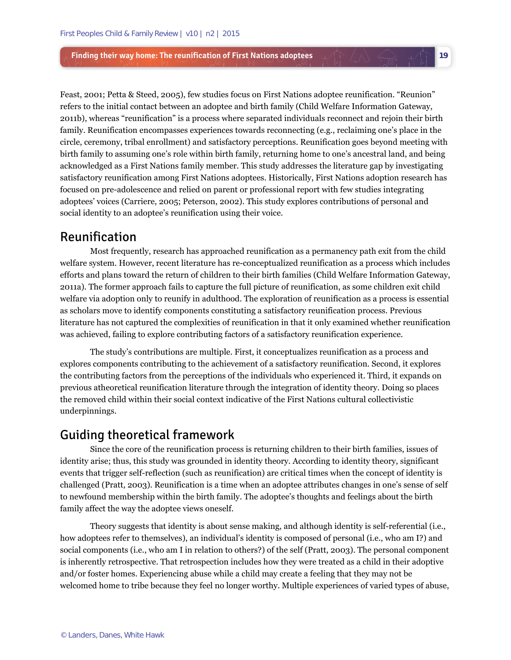Feast, 2001; Petta & Steed, 2005), few studies focus on First Nations adoptee reunification. "Reunion" refers to the initial contact between an adoptee and birth family (Child Welfare Information Gateway, 2011b), whereas "reunification" is a process where separated individuals reconnect and rejoin their birth family. Reunification encompasses experiences towards reconnecting (e.g., reclaiming one's place in the circle, ceremony, tribal enrollment) and satisfactory perceptions. Reunification goes beyond meeting with birth family to assuming one's role within birth family, returning home to one's ancestral land, and being acknowledged as a First Nations family member. This study addresses the literature gap by investigating satisfactory reunification among First Nations adoptees. Historically, First Nations adoption research has focused on pre-adolescence and relied on parent or professional report with few studies integrating adoptees' voices (Carriere, 2005; Peterson, 2002). This study explores contributions of personal and social identity to an adoptee's reunification using their voice.

**19** 

# Reunification

Most frequently, research has approached reunification as a permanency path exit from the child welfare system. However, recent literature has re-conceptualized reunification as a process which includes efforts and plans toward the return of children to their birth families (Child Welfare Information Gateway, 2011a). The former approach fails to capture the full picture of reunification, as some children exit child welfare via adoption only to reunify in adulthood. The exploration of reunification as a process is essential as scholars move to identify components constituting a satisfactory reunification process. Previous literature has not captured the complexities of reunification in that it only examined whether reunification was achieved, failing to explore contributing factors of a satisfactory reunification experience.

The study's contributions are multiple. First, it conceptualizes reunification as a process and explores components contributing to the achievement of a satisfactory reunification. Second, it explores the contributing factors from the perceptions of the individuals who experienced it. Third, it expands on previous atheoretical reunification literature through the integration of identity theory. Doing so places the removed child within their social context indicative of the First Nations cultural collectivistic underpinnings.

# Guiding theoretical framework

Since the core of the reunification process is returning children to their birth families, issues of identity arise; thus, this study was grounded in identity theory. According to identity theory, significant events that trigger self-reflection (such as reunification) are critical times when the concept of identity is challenged (Pratt, 2003). Reunification is a time when an adoptee attributes changes in one's sense of self to newfound membership within the birth family. The adoptee's thoughts and feelings about the birth family affect the way the adoptee views oneself.

Theory suggests that identity is about sense making, and although identity is self-referential (i.e., how adoptees refer to themselves), an individual's identity is composed of personal (i.e., who am I?) and social components (i.e., who am I in relation to others?) of the self (Pratt, 2003). The personal component is inherently retrospective. That retrospection includes how they were treated as a child in their adoptive and/or foster homes. Experiencing abuse while a child may create a feeling that they may not be welcomed home to tribe because they feel no longer worthy. Multiple experiences of varied types of abuse,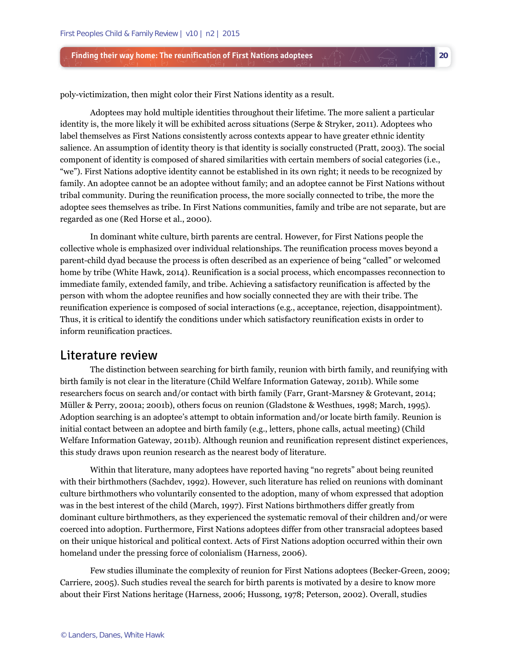poly-victimization, then might color their First Nations identity as a result.

Adoptees may hold multiple identities throughout their lifetime. The more salient a particular identity is, the more likely it will be exhibited across situations (Serpe & Stryker, 2011). Adoptees who label themselves as First Nations consistently across contexts appear to have greater ethnic identity salience. An assumption of identity theory is that identity is socially constructed (Pratt, 2003). The social component of identity is composed of shared similarities with certain members of social categories (i.e., "we"). First Nations adoptive identity cannot be established in its own right; it needs to be recognized by family. An adoptee cannot be an adoptee without family; and an adoptee cannot be First Nations without tribal community. During the reunification process, the more socially connected to tribe, the more the adoptee sees themselves as tribe. In First Nations communities, family and tribe are not separate, but are regarded as one (Red Horse et al., 2000).

**20** 

In dominant white culture, birth parents are central. However, for First Nations people the collective whole is emphasized over individual relationships. The reunification process moves beyond a parent-child dyad because the process is often described as an experience of being "called" or welcomed home by tribe (White Hawk, 2014). Reunification is a social process, which encompasses reconnection to immediate family, extended family, and tribe. Achieving a satisfactory reunification is affected by the person with whom the adoptee reunifies and how socially connected they are with their tribe. The reunification experience is composed of social interactions (e.g., acceptance, rejection, disappointment). Thus, it is critical to identify the conditions under which satisfactory reunification exists in order to inform reunification practices.

### Literature review

The distinction between searching for birth family, reunion with birth family, and reunifying with birth family is not clear in the literature (Child Welfare Information Gateway, 2011b). While some researchers focus on search and/or contact with birth family (Farr, Grant-Marsney & Grotevant, 2014; Müller & Perry, 2001a; 2001b), others focus on reunion (Gladstone & Westhues, 1998; March, 1995). Adoption searching is an adoptee's attempt to obtain information and/or locate birth family. Reunion is initial contact between an adoptee and birth family (e.g., letters, phone calls, actual meeting) (Child Welfare Information Gateway, 2011b). Although reunion and reunification represent distinct experiences, this study draws upon reunion research as the nearest body of literature.

Within that literature, many adoptees have reported having "no regrets" about being reunited with their birthmothers (Sachdev, 1992). However, such literature has relied on reunions with dominant culture birthmothers who voluntarily consented to the adoption, many of whom expressed that adoption was in the best interest of the child (March, 1997). First Nations birthmothers differ greatly from dominant culture birthmothers, as they experienced the systematic removal of their children and/or were coerced into adoption. Furthermore, First Nations adoptees differ from other transracial adoptees based on their unique historical and political context. Acts of First Nations adoption occurred within their own homeland under the pressing force of colonialism (Harness, 2006).

Few studies illuminate the complexity of reunion for First Nations adoptees (Becker-Green, 2009; Carriere, 2005). Such studies reveal the search for birth parents is motivated by a desire to know more about their First Nations heritage (Harness, 2006; Hussong, 1978; Peterson, 2002). Overall, studies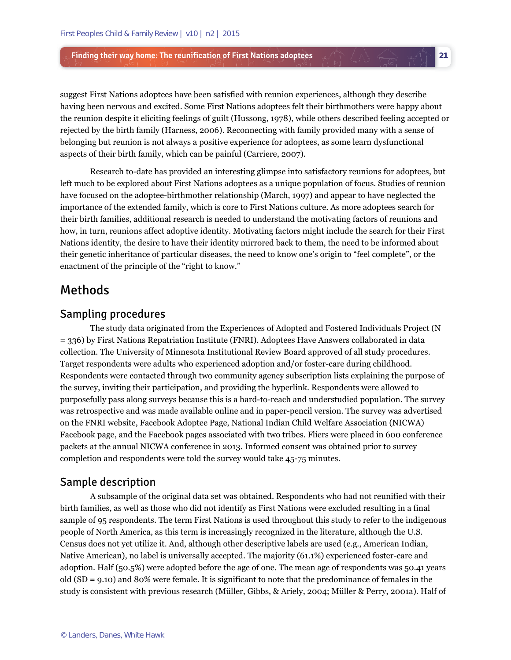suggest First Nations adoptees have been satisfied with reunion experiences, although they describe having been nervous and excited. Some First Nations adoptees felt their birthmothers were happy about the reunion despite it eliciting feelings of guilt (Hussong, 1978), while others described feeling accepted or rejected by the birth family (Harness, 2006). Reconnecting with family provided many with a sense of belonging but reunion is not always a positive experience for adoptees, as some learn dysfunctional aspects of their birth family, which can be painful (Carriere, 2007).

**21** 

Research to-date has provided an interesting glimpse into satisfactory reunions for adoptees, but left much to be explored about First Nations adoptees as a unique population of focus. Studies of reunion have focused on the adoptee-birthmother relationship (March, 1997) and appear to have neglected the importance of the extended family, which is core to First Nations culture. As more adoptees search for their birth families, additional research is needed to understand the motivating factors of reunions and how, in turn, reunions affect adoptive identity. Motivating factors might include the search for their First Nations identity, the desire to have their identity mirrored back to them, the need to be informed about their genetic inheritance of particular diseases, the need to know one's origin to "feel complete", or the enactment of the principle of the "right to know."

# Methods

# Sampling procedures

The study data originated from the Experiences of Adopted and Fostered Individuals Project (N = 336) by First Nations Repatriation Institute (FNRI). Adoptees Have Answers collaborated in data collection. The University of Minnesota Institutional Review Board approved of all study procedures. Target respondents were adults who experienced adoption and/or foster-care during childhood. Respondents were contacted through two community agency subscription lists explaining the purpose of the survey, inviting their participation, and providing the hyperlink. Respondents were allowed to purposefully pass along surveys because this is a hard-to-reach and understudied population. The survey was retrospective and was made available online and in paper-pencil version. The survey was advertised on the FNRI website, Facebook Adoptee Page, National Indian Child Welfare Association (NICWA) Facebook page, and the Facebook pages associated with two tribes. Fliers were placed in 600 conference packets at the annual NICWA conference in 2013. Informed consent was obtained prior to survey completion and respondents were told the survey would take 45-75 minutes.

### Sample description

A subsample of the original data set was obtained. Respondents who had not reunified with their birth families, as well as those who did not identify as First Nations were excluded resulting in a final sample of 95 respondents. The term First Nations is used throughout this study to refer to the indigenous people of North America, as this term is increasingly recognized in the literature, although the U.S. Census does not yet utilize it. And, although other descriptive labels are used (e.g., American Indian, Native American), no label is universally accepted. The majority (61.1%) experienced foster-care and adoption. Half (50.5%) were adopted before the age of one. The mean age of respondents was 50.41 years old (SD = 9.10) and 80% were female. It is significant to note that the predominance of females in the study is consistent with previous research (Müller, Gibbs, & Ariely, 2004; Müller & Perry, 2001a). Half of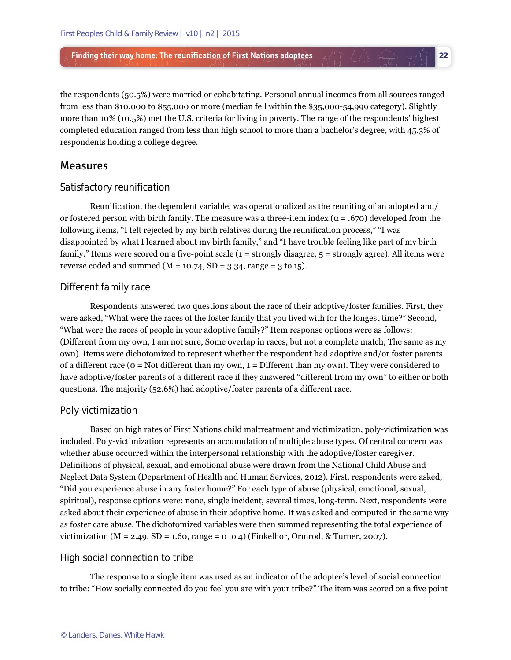the respondents (50.5%) were married or cohabitating. Personal annual incomes from all sources ranged from less than \$10,000 to \$55,000 or more (median fell within the \$35,000-54,999 category). Slightly more than 10% (10.5%) met the U.S. criteria for living in poverty. The range of the respondents' highest completed education ranged from less than high school to more than a bachelor's degree, with 45.3% of respondents holding a college degree.

**22** 

#### Measures

#### *Satisfactory reunification*

Reunification, the dependent variable, was operationalized as the reuniting of an adopted and/ or fostered person with birth family. The measure was a three-item index ( $\alpha$  = .670) developed from the following items, "I felt rejected by my birth relatives during the reunification process," "I was disappointed by what I learned about my birth family," and "I have trouble feeling like part of my birth family." Items were scored on a five-point scale (1 = strongly disagree, 5 = strongly agree). All items were reverse coded and summed ( $M = 10.74$ ,  $SD = 3.34$ , range = 3 to 15).

#### *Different family race*

Respondents answered two questions about the race of their adoptive/foster families. First, they were asked, "What were the races of the foster family that you lived with for the longest time?" Second, "What were the races of people in your adoptive family?" Item response options were as follows: (Different from my own, I am not sure, Some overlap in races, but not a complete match, The same as my own). Items were dichotomized to represent whether the respondent had adoptive and/or foster parents of a different race (0 = Not different than my own, 1 = Different than my own). They were considered to have adoptive/foster parents of a different race if they answered "different from my own" to either or both questions. The majority (52.6%) had adoptive/foster parents of a different race.

#### *Poly-victimization*

Based on high rates of First Nations child maltreatment and victimization, poly-victimization was included. Poly-victimization represents an accumulation of multiple abuse types. Of central concern was whether abuse occurred within the interpersonal relationship with the adoptive/foster caregiver. Definitions of physical, sexual, and emotional abuse were drawn from the National Child Abuse and Neglect Data System (Department of Health and Human Services, 2012). First, respondents were asked, "Did you experience abuse in any foster home?" For each type of abuse (physical, emotional, sexual, spiritual), response options were: none, single incident, several times, long-term. Next, respondents were asked about their experience of abuse in their adoptive home. It was asked and computed in the same way as foster care abuse. The dichotomized variables were then summed representing the total experience of victimization ( $M = 2.49$ ,  $SD = 1.60$ , range = 0 to 4) (Finkelhor, Ormrod, & Turner, 2007).

#### *High social connection to tribe*

The response to a single item was used as an indicator of the adoptee's level of social connection to tribe: "How socially connected do you feel you are with your tribe?" The item was scored on a five point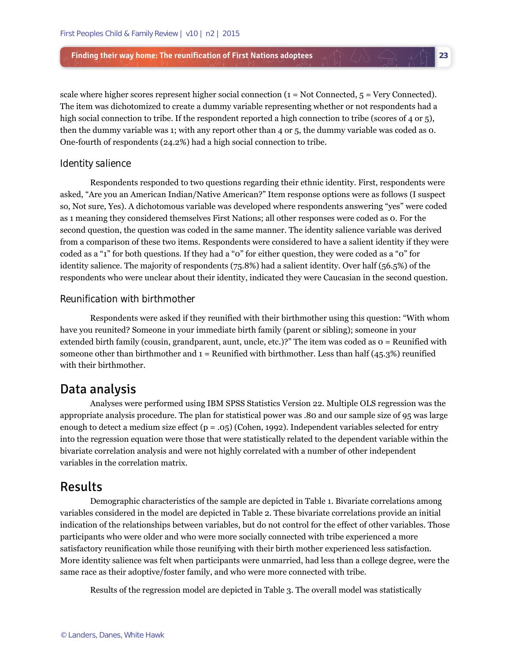scale where higher scores represent higher social connection  $(1 = Not Connected, 5 = Very Connected)$ . The item was dichotomized to create a dummy variable representing whether or not respondents had a high social connection to tribe. If the respondent reported a high connection to tribe (scores of 4 or 5), then the dummy variable was 1; with any report other than 4 or 5, the dummy variable was coded as 0. One-fourth of respondents (24.2%) had a high social connection to tribe.

**23** 

#### *Identity salience*

Respondents responded to two questions regarding their ethnic identity. First, respondents were asked, "Are you an American Indian/Native American?" Item response options were as follows (I suspect so, Not sure, Yes). A dichotomous variable was developed where respondents answering "yes" were coded as 1 meaning they considered themselves First Nations; all other responses were coded as 0. For the second question, the question was coded in the same manner. The identity salience variable was derived from a comparison of these two items. Respondents were considered to have a salient identity if they were coded as a "1" for both questions. If they had a "0" for either question, they were coded as a "0" for identity salience. The majority of respondents (75.8%) had a salient identity. Over half (56.5%) of the respondents who were unclear about their identity, indicated they were Caucasian in the second question.

#### *Reunification with birthmother*

Respondents were asked if they reunified with their birthmother using this question: "With whom have you reunited? Someone in your immediate birth family (parent or sibling); someone in your extended birth family (cousin, grandparent, aunt, uncle, etc.)?" The item was coded as 0 = Reunified with someone other than birthmother and  $1 =$  Reunified with birthmother. Less than half (45.3%) reunified with their birthmother.

# Data analysis

Analyses were performed using IBM SPSS Statistics Version 22. Multiple OLS regression was the appropriate analysis procedure. The plan for statistical power was .80 and our sample size of 95 was large enough to detect a medium size effect  $(p = .05)$  (Cohen, 1992). Independent variables selected for entry into the regression equation were those that were statistically related to the dependent variable within the bivariate correlation analysis and were not highly correlated with a number of other independent variables in the correlation matrix.

### Results

Demographic characteristics of the sample are depicted in Table 1. Bivariate correlations among variables considered in the model are depicted in Table 2. These bivariate correlations provide an initial indication of the relationships between variables, but do not control for the effect of other variables. Those participants who were older and who were more socially connected with tribe experienced a more satisfactory reunification while those reunifying with their birth mother experienced less satisfaction. More identity salience was felt when participants were unmarried, had less than a college degree, were the same race as their adoptive/foster family, and who were more connected with tribe.

Results of the regression model are depicted in Table 3. The overall model was statistically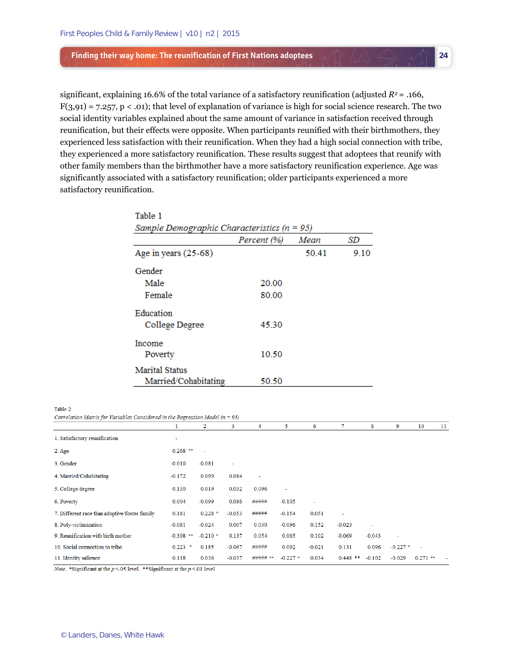significant, explaining 16.6% of the total variance of a satisfactory reunification (adjusted  $R^2$  = .166,  $F(3,91) = 7.257$ ,  $p < .01$ ; that level of explanation of variance is high for social science research. The two social identity variables explained about the same amount of variance in satisfaction received through reunification, but their effects were opposite. When participants reunified with their birthmothers, they experienced less satisfaction with their reunification. When they had a high social connection with tribe, they experienced a more satisfactory reunification. These results suggest that adoptees that reunify with other family members than the birthmother have a more satisfactory reunification experience. Age was significantly associated with a satisfactory reunification; older participants experienced a more satisfactory reunification.

**24** 

| Table 1                                         |             |       |       |  |  |  |  |
|-------------------------------------------------|-------------|-------|-------|--|--|--|--|
| Sample Demographic Characteristics ( $n = 95$ ) |             |       |       |  |  |  |  |
|                                                 | Percent (%) | Mean  | SD    |  |  |  |  |
| Age in years $(25-68)$                          |             | 50.41 | 9 1 0 |  |  |  |  |
| Gender                                          |             |       |       |  |  |  |  |
| Male                                            | 20.00       |       |       |  |  |  |  |
| Female                                          | 80.00       |       |       |  |  |  |  |
| Education                                       |             |       |       |  |  |  |  |
| College Degree                                  | 45.30       |       |       |  |  |  |  |
| Income                                          |             |       |       |  |  |  |  |
| Poverty                                         | 10.50       |       |       |  |  |  |  |
| <b>Marital Status</b>                           |             |       |       |  |  |  |  |
| Married/Cohabitating                            | 50.50       |       |       |  |  |  |  |

Table 2

Correlation Matrix for Variables Considered in the Regression Model ( $n = 95$ )

|                                               |             | 2         | 3        | 4           | 5.         | 6        | 7                        | 8        | 9                        | 10             | 11 |
|-----------------------------------------------|-------------|-----------|----------|-------------|------------|----------|--------------------------|----------|--------------------------|----------------|----|
| 1. Satisfactory reunification                 | ٠           |           |          |             |            |          |                          |          |                          |                |    |
| $2.$ Age                                      | $0.268$ **  | ÷,        |          |             |            |          |                          |          |                          |                |    |
| 3. Gender                                     | $-0.010$    | $-0.081$  |          |             |            |          |                          |          |                          |                |    |
| 4. Married/Cohabitating                       | $-0.172$    | 0.099     | 0.084    |             |            |          |                          |          |                          |                |    |
| 5. College degree                             | 0.130       | 0.019     | 0.032    | 0.096       | ٠          |          |                          |          |                          |                |    |
| 6. Poverty                                    | 0.004       | $-0.099$  | 0.086    | #####       | $-0.105$   | ٠        |                          |          |                          |                |    |
| 7. Different race than adoptive/foster family | 0.181       | $0.228$ * | $-0.053$ | #####       | $-0.154$   | 0.051    | $\overline{\phantom{a}}$ |          |                          |                |    |
| 8. Poly-victimization                         | $-0.081$    | $-0.024$  | 0.007    | 0.030       | $-0.096$   | 0.152    | $-0.023$                 | ٠        |                          |                |    |
| 9. Reunification with birth mother            | $-0.308$ ** | $-0.210*$ | 0.137    | 0.054       | 0.065      | 0.102    | $-0.069$                 | $-0.043$ | $\overline{\phantom{a}}$ |                |    |
| 10. Social connection to tribe                | $0.223$ *   | 0.185     | $-0.067$ | #####       | 0.092      | $-0.021$ | 0.131                    | 0.096    | $-0.227$ *               | $\overline{a}$ |    |
| 11. Identity salience                         | 0.118       | 0.036     | $-0.037$ | #####<br>** | $-0.227$ * | 0.034    | $0.448$ **               | $-0.102$ | $-0.029$                 | $0.271$ **     |    |

Note. \* Significant at the  $p < 05$  level. \*\* Significant at the  $p < 01$  level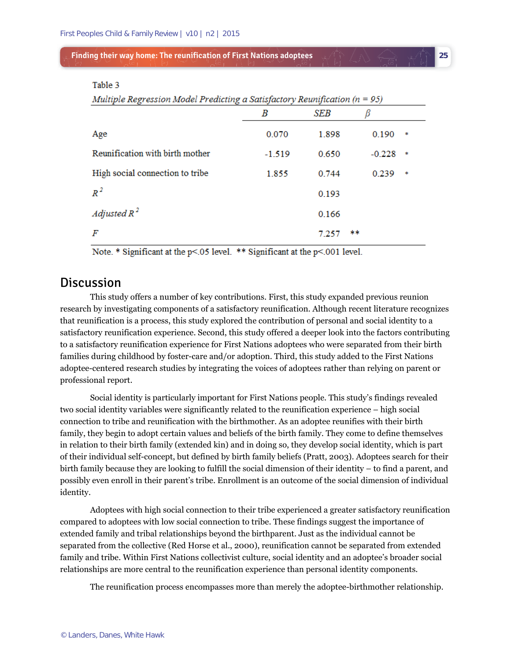| _____ |  |
|-------|--|
|       |  |

**SEB** β B Age 0.070 1.898 0.190 Reunification with birth mother  $-1.519$ 0.650  $-0.228$ High social connection to tribe 1.855 0.744 0.239  $R^2$ 0.193 Adjusted  $R^2$ 0.166  $\overline{F}$ 7.257

**25** 

Note. \* Significant at the p<.05 level. \*\* Significant at the p<.001 level.

# **Discussion**

This study offers a number of key contributions. First, this study expanded previous reunion research by investigating components of a satisfactory reunification. Although recent literature recognizes that reunification is a process, this study explored the contribution of personal and social identity to a satisfactory reunification experience. Second, this study offered a deeper look into the factors contributing to a satisfactory reunification experience for First Nations adoptees who were separated from their birth families during childhood by foster-care and/or adoption. Third, this study added to the First Nations adoptee-centered research studies by integrating the voices of adoptees rather than relying on parent or professional report.

Social identity is particularly important for First Nations people. This study's findings revealed two social identity variables were significantly related to the reunification experience – high social connection to tribe and reunification with the birthmother. As an adoptee reunifies with their birth family, they begin to adopt certain values and beliefs of the birth family. They come to define themselves in relation to their birth family (extended kin) and in doing so, they develop social identity, which is part of their individual self-concept, but defined by birth family beliefs (Pratt, 2003). Adoptees search for their birth family because they are looking to fulfill the social dimension of their identity – to find a parent, and possibly even enroll in their parent's tribe. Enrollment is an outcome of the social dimension of individual identity.

Adoptees with high social connection to their tribe experienced a greater satisfactory reunification compared to adoptees with low social connection to tribe. These findings suggest the importance of extended family and tribal relationships beyond the birthparent. Just as the individual cannot be separated from the collective (Red Horse et al., 2000), reunification cannot be separated from extended family and tribe. Within First Nations collectivist culture, social identity and an adoptee's broader social relationships are more central to the reunification experience than personal identity components.

The reunification process encompasses more than merely the adoptee-birthmother relationship.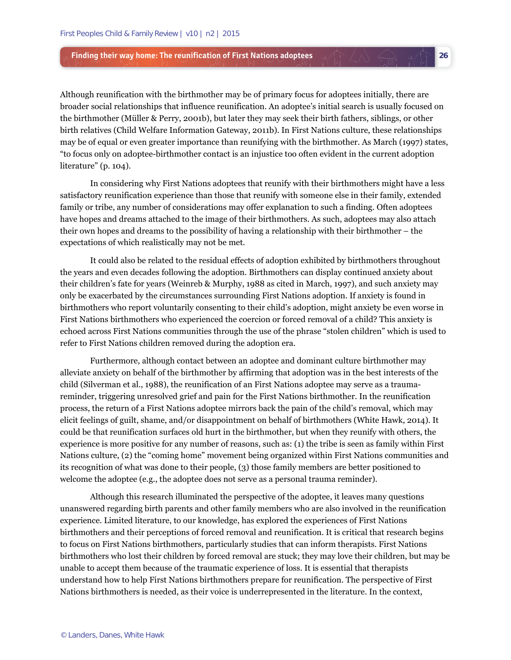Although reunification with the birthmother may be of primary focus for adoptees initially, there are broader social relationships that influence reunification. An adoptee's initial search is usually focused on the birthmother (Müller & Perry, 2001b), but later they may seek their birth fathers, siblings, or other birth relatives (Child Welfare Information Gateway, 2011b). In First Nations culture, these relationships may be of equal or even greater importance than reunifying with the birthmother. As March (1997) states, "to focus only on adoptee-birthmother contact is an injustice too often evident in the current adoption literature" (p. 104).

**26** 

In considering why First Nations adoptees that reunify with their birthmothers might have a less satisfactory reunification experience than those that reunify with someone else in their family, extended family or tribe, any number of considerations may offer explanation to such a finding. Often adoptees have hopes and dreams attached to the image of their birthmothers. As such, adoptees may also attach their own hopes and dreams to the possibility of having a relationship with their birthmother – the expectations of which realistically may not be met.

It could also be related to the residual effects of adoption exhibited by birthmothers throughout the years and even decades following the adoption. Birthmothers can display continued anxiety about their children's fate for years (Weinreb & Murphy, 1988 as cited in March, 1997), and such anxiety may only be exacerbated by the circumstances surrounding First Nations adoption. If anxiety is found in birthmothers who report voluntarily consenting to their child's adoption, might anxiety be even worse in First Nations birthmothers who experienced the coercion or forced removal of a child? This anxiety is echoed across First Nations communities through the use of the phrase "stolen children" which is used to refer to First Nations children removed during the adoption era.

Furthermore, although contact between an adoptee and dominant culture birthmother may alleviate anxiety on behalf of the birthmother by affirming that adoption was in the best interests of the child (Silverman et al., 1988), the reunification of an First Nations adoptee may serve as a traumareminder, triggering unresolved grief and pain for the First Nations birthmother. In the reunification process, the return of a First Nations adoptee mirrors back the pain of the child's removal, which may elicit feelings of guilt, shame, and/or disappointment on behalf of birthmothers (White Hawk, 2014). It could be that reunification surfaces old hurt in the birthmother, but when they reunify with others, the experience is more positive for any number of reasons, such as: (1) the tribe is seen as family within First Nations culture, (2) the "coming home" movement being organized within First Nations communities and its recognition of what was done to their people, (3) those family members are better positioned to welcome the adoptee (e.g., the adoptee does not serve as a personal trauma reminder).

Although this research illuminated the perspective of the adoptee, it leaves many questions unanswered regarding birth parents and other family members who are also involved in the reunification experience. Limited literature, to our knowledge, has explored the experiences of First Nations birthmothers and their perceptions of forced removal and reunification. It is critical that research begins to focus on First Nations birthmothers, particularly studies that can inform therapists. First Nations birthmothers who lost their children by forced removal are stuck; they may love their children, but may be unable to accept them because of the traumatic experience of loss. It is essential that therapists understand how to help First Nations birthmothers prepare for reunification. The perspective of First Nations birthmothers is needed, as their voice is underrepresented in the literature. In the context,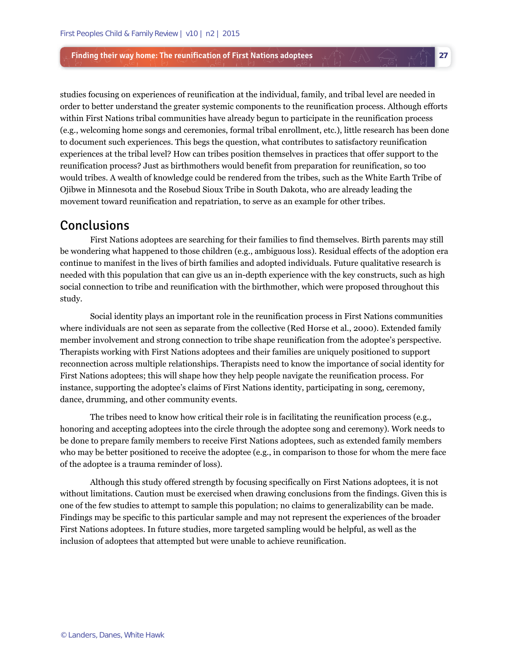studies focusing on experiences of reunification at the individual, family, and tribal level are needed in order to better understand the greater systemic components to the reunification process. Although efforts within First Nations tribal communities have already begun to participate in the reunification process (e.g., welcoming home songs and ceremonies, formal tribal enrollment, etc.), little research has been done to document such experiences. This begs the question, what contributes to satisfactory reunification experiences at the tribal level? How can tribes position themselves in practices that offer support to the reunification process? Just as birthmothers would benefit from preparation for reunification, so too would tribes. A wealth of knowledge could be rendered from the tribes, such as the White Earth Tribe of Ojibwe in Minnesota and the Rosebud Sioux Tribe in South Dakota, who are already leading the movement toward reunification and repatriation, to serve as an example for other tribes.

**27** 

# Conclusions

First Nations adoptees are searching for their families to find themselves. Birth parents may still be wondering what happened to those children (e.g., ambiguous loss). Residual effects of the adoption era continue to manifest in the lives of birth families and adopted individuals. Future qualitative research is needed with this population that can give us an in-depth experience with the key constructs, such as high social connection to tribe and reunification with the birthmother, which were proposed throughout this study.

Social identity plays an important role in the reunification process in First Nations communities where individuals are not seen as separate from the collective (Red Horse et al., 2000). Extended family member involvement and strong connection to tribe shape reunification from the adoptee's perspective. Therapists working with First Nations adoptees and their families are uniquely positioned to support reconnection across multiple relationships. Therapists need to know the importance of social identity for First Nations adoptees; this will shape how they help people navigate the reunification process. For instance, supporting the adoptee's claims of First Nations identity, participating in song, ceremony, dance, drumming, and other community events.

The tribes need to know how critical their role is in facilitating the reunification process (e.g., honoring and accepting adoptees into the circle through the adoptee song and ceremony). Work needs to be done to prepare family members to receive First Nations adoptees, such as extended family members who may be better positioned to receive the adoptee (e.g., in comparison to those for whom the mere face of the adoptee is a trauma reminder of loss).

Although this study offered strength by focusing specifically on First Nations adoptees, it is not without limitations. Caution must be exercised when drawing conclusions from the findings. Given this is one of the few studies to attempt to sample this population; no claims to generalizability can be made. Findings may be specific to this particular sample and may not represent the experiences of the broader First Nations adoptees. In future studies, more targeted sampling would be helpful, as well as the inclusion of adoptees that attempted but were unable to achieve reunification.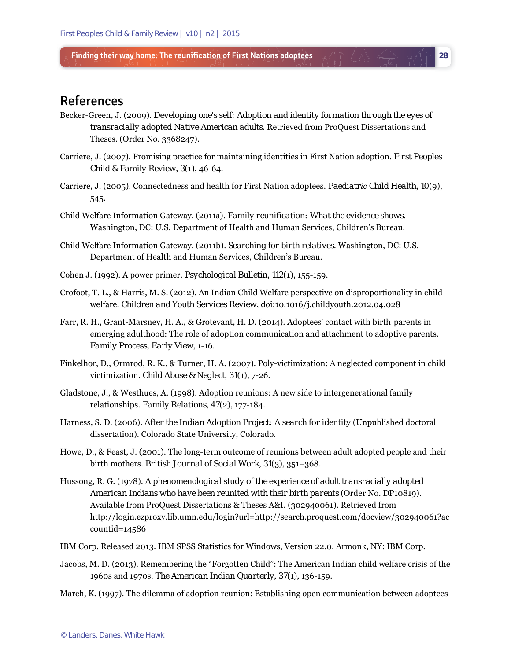# References

Becker-Green, J. (2009). *Developing one's self: Adoption and identity formation through the eyes of transracially adopted Native American adults*. Retrieved from ProQuest Dissertations and Theses. (Order No. 3368247).

**28** 

- Carriere, J. (2007). Promising practice for maintaining identities in First Nation adoption. *First Peoples Child & Family Review*, *3*(1), 46-64.
- Carriere, J. (2005). Connectedness and health for First Nation adoptees. *Paediatric Child Health*, *10*(9), 545.
- Child Welfare Information Gateway. (2011a). *Family reunification: What the evidence shows*. Washington, DC: U.S. Department of Health and Human Services, Children's Bureau.
- Child Welfare Information Gateway. (2011b*). Searching for birth relatives*. Washington, DC: U.S. Department of Health and Human Services, Children's Bureau.
- Cohen J. (1992). A power primer. *Psychological Bulletin*, *112*(1), 155-159.
- Crofoot, T. L., & Harris, M. S. (2012). An Indian Child Welfare perspective on disproportionality in child welfare. *Children and Youth Services Review*, doi:10.1016/j.childyouth.2012.04.028
- Farr, R. H., Grant-Marsney, H. A., & Grotevant, H. D. (2014). Adoptees' contact with birth parents in emerging adulthood: The role of adoption communication and attachment to adoptive parents. *Family Process, Early View*, 1-16.
- Finkelhor, D., Ormrod, R. K., & Turner, H. A. (2007). Poly-victimization: A neglected component in child victimization. *Child Abuse & Neglect*, *31*(1), 7-26.
- Gladstone, J., & Westhues, A. (1998). Adoption reunions: A new side to intergenerational family relationships. *Family Relations*, *47*(2), 177-184.
- Harness, S. D. (2006). *After the Indian Adoption Project: A search for identity* (Unpublished doctoral dissertation). Colorado State University, Colorado.
- Howe, D., & Feast, J. (2001). The long-term outcome of reunions between adult adopted people and their birth mothers. *British Journal of Social Work*, *31*(3), 351–368.
- Hussong, R. G. (1978). *A phenomenological study of the experience of adult transracially adopted American Indians who have been reunited with their birth parents* (Order No. DP10819). Available from ProQuest Dissertations & Theses A&I. (302940061). Retrieved from http://login.ezproxy.lib.umn.edu/login?url=http://search.proquest.com/docview/302940061?ac countid=14586
- IBM Corp. Released 2013. IBM SPSS Statistics for Windows, Version 22.0. Armonk, NY: IBM Corp.
- Jacobs, M. D. (2013). Remembering the "Forgotten Child": The American Indian child welfare crisis of the 1960s and 1970s. *The American Indian Quarterly*, *37*(1), 136-159.
- March, K. (1997). The dilemma of adoption reunion: Establishing open communication between adoptees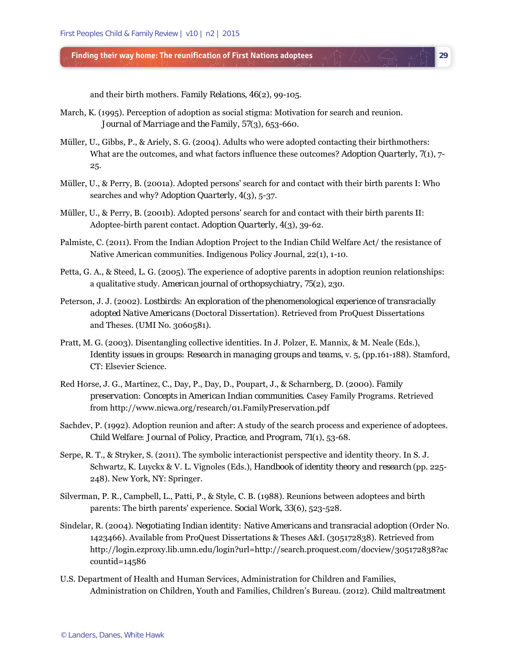and their birth mothers. *Family Relations*, *46*(2), 99-105.

- March, K. (1995). Perception of adoption as social stigma: Motivation for search and reunion. *Journal of Marriage and the Family*, *57*(3), 653-660.
- Müller, U., Gibbs, P., & Ariely, S. G. (2004). Adults who were adopted contacting their birthmothers: What are the outcomes, and what factors influence these outcomes? *Adoption Quarterly*,  $\mathcal{I}(1)$ , 7-25.

**29** 

- Müller, U., & Perry, B. (2001a). Adopted persons' search for and contact with their birth parents I: Who searches and why? *Adoption Quarterly*, *4*(3), 5-37.
- Müller, U., & Perry, B. (2001b). Adopted persons' search for and contact with their birth parents II: Adoptee-birth parent contact. *Adoption Quarterly*, *4*(3), 39-62.
- Palmiste, C. (2011). From the Indian Adoption Project to the Indian Child Welfare Act/ the resistance of Native American communities. Indigenous Policy Journal, 22(1), 1-10.
- Petta, G. A., & Steed, L. G. (2005). The experience of adoptive parents in adoption reunion relationships: a qualitative study. *American journal of orthopsychiatry*, *75*(2), 230.
- Peterson, J. J. (2002). *Lostbirds: An exploration of the phenomenological experience of transracially adopted Native Americans* (Doctoral Dissertation). Retrieved from ProQuest Dissertations and Theses. (UMI No. 3060581).
- Pratt, M. G. (2003). Disentangling collective identities. In J. Polzer, E. Mannix, & M. Neale (Eds.), *Identity issues in groups: Research in managing groups and teams, v. 5, (pp.161-188). Stamford,* CT: Elsevier Science.
- Red Horse, J. G., Martinez, C., Day, P., Day, D., Poupart, J., & Scharnberg, D. (2000). *Family preservation: Concepts in American Indian communities*. Casey Family Programs. Retrieved from http://www.nicwa.org/research/01.FamilyPreservation.pdf
- Sachdev, P. (1992). Adoption reunion and after: A study of the search process and experience of adoptees. *Child Welfare: Journal of Policy, Practice, and Program*, *71*(1), 53-68.
- Serpe, R. T., & Stryker, S. (2011). The symbolic interactionist perspective and identity theory. In S. J. Schwartz, K. Luyckx & V. L. Vignoles (Eds.), *Handbook of identity theory and research* (pp. 225- 248). New York, NY: Springer.
- Silverman, P. R., Campbell, L., Patti, P., & Style, C. B. (1988). Reunions between adoptees and birth parents: The birth parents' experience. *Social Work*, *33*(6), 523-528.
- Sindelar, R. (2004). *Negotiating Indian identity: Native Americans and transracial adoption* (Order No. 1423466). Available from ProQuest Dissertations & Theses A&I. (305172838). Retrieved from http://login.ezproxy.lib.umn.edu/login?url=http://search.proquest.com/docview/305172838?ac countid=14586
- U.S. Department of Health and Human Services, Administration for Children and Families, Administration on Children, Youth and Families, Children's Bureau. (2012). *Child maltreatment*